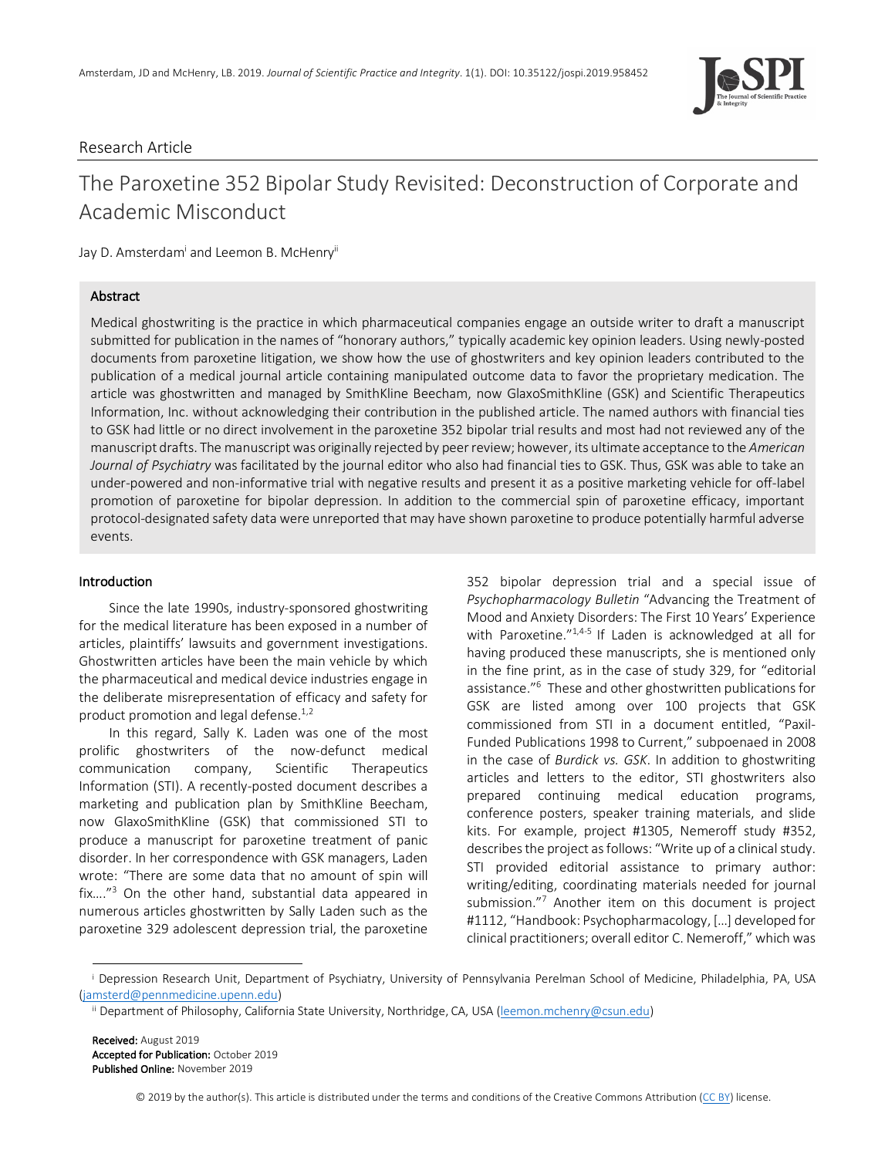

# Research Article

# The Paroxetine 352 Bipolar Study Revisited: Deconstruction of Corporate and Academic Misconduct

Jay D. Amsterdam<sup>i</sup> and Leemon B. McHenry<sup>ii</sup>

# Abstract

Medical ghostwriting is the practice in which pharmaceutical companies engage an outside writer to draft a manuscript submitted for publication in the names of "honorary authors," typically academic key opinion leaders. Using newly-posted documents from paroxetine litigation, we show how the use of ghostwriters and key opinion leaders contributed to the publication of a medical journal article containing manipulated outcome data to favor the proprietary medication. The article was ghostwritten and managed by SmithKline Beecham, now GlaxoSmithKline (GSK) and Scientific Therapeutics Information, Inc. without acknowledging their contribution in the published article. The named authors with financial ties to GSK had little or no direct involvement in the paroxetine 352 bipolar trial results and most had not reviewed any of the manuscript drafts. The manuscript was originally rejected by peer review; however, its ultimate acceptance to the *American Journal of Psychiatry* was facilitated by the journal editor who also had financial ties to GSK. Thus, GSK was able to take an under-powered and non-informative trial with negative results and present it as a positive marketing vehicle for off-label promotion of paroxetine for bipolar depression. In addition to the commercial spin of paroxetine efficacy, important protocol-designated safety data were unreported that may have shown paroxetine to produce potentially harmful adverse events.

## Introduction

 Since the late 1990s, industry-sponsored ghostwriting for the medical literature has been exposed in a number of articles, plaintiffs' lawsuits and government investigations. Ghostwritten articles have been the main vehicle by which the pharmaceutical and medical device industries engage in the deliberate misrepresentation of efficacy and safety for product promotion and legal defense.<sup>1,2</sup>

 In this regard, Sally K. Laden was one of the most prolific ghostwriters of the now-defunct medical communication company, Scientific Therapeutics Information (STI). A recently-posted document describes a marketing and publication plan by SmithKline Beecham, now GlaxoSmithKline (GSK) that commissioned STI to produce a manuscript for paroxetine treatment of panic disorder. In her correspondence with GSK managers, Laden wrote: "There are some data that no amount of spin will fix...." $3$  On the other hand, substantial data appeared in numerous articles ghostwritten by Sally Laden such as the paroxetine 329 adolescent depression trial, the paroxetine

352 bipolar depression trial and a special issue of *Psychopharmacology Bulletin* "Advancing the Treatment of Mood and Anxiety Disorders: The First 10 Years' Experience with Paroxetine."1,4-5 If Laden is acknowledged at all for having produced these manuscripts, she is mentioned only in the fine print, as in the case of study 329, for "editorial assistance."6 These and other ghostwritten publications for GSK are listed among over 100 projects that GSK commissioned from STI in a document entitled, "Paxil-Funded Publications 1998 to Current," subpoenaed in 2008 in the case of *Burdick vs. GSK*. In addition to ghostwriting articles and letters to the editor, STI ghostwriters also prepared continuing medical education programs, conference posters, speaker training materials, and slide kits. For example, project #1305, Nemeroff study #352, describes the project as follows: "Write up of a clinical study. STI provided editorial assistance to primary author: writing/editing, coordinating materials needed for journal submission."7 Another item on this document is project #1112, "Handbook: Psychopharmacology, […] developed for clinical practitioners; overall editor C. Nemeroff," which was

Received: August 2019 Accepted for Publication: October 2019 Published Online: November 2019

© 2019 by the author(s). This article is distributed under the terms and conditions of the Creative Commons Attribution (CC BY) license.

i Depression Research Unit, Department of Psychiatry, University of Pennsylvania Perelman School of Medicine, Philadelphia, PA, USA (jamsterd@pennmedicine.upenn.edu)

ii Department of Philosophy, California State University, Northridge, CA, USA (leemon.mchenry@csun.edu)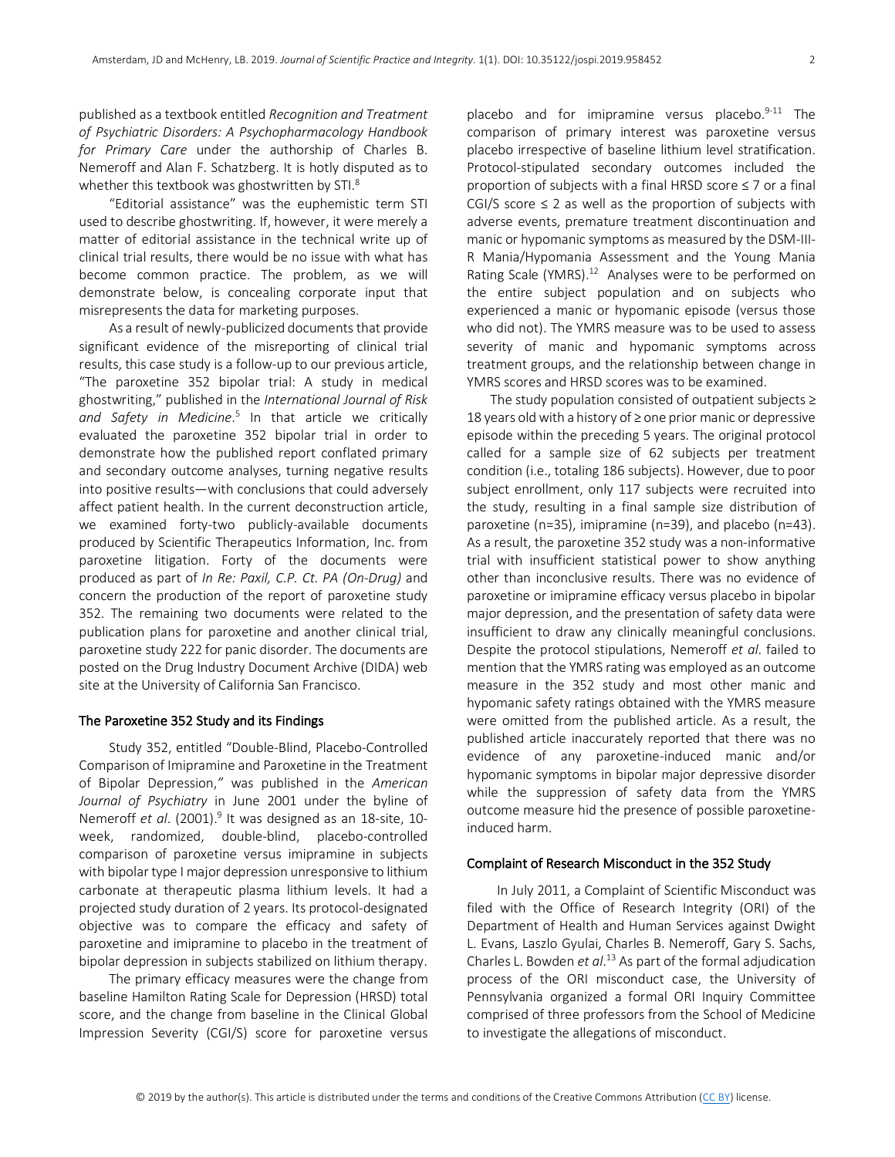published as a textbook entitled *Recognition and Treatment of Psychiatric Disorders: A Psychopharmacology Handbook for Primary Care* under the authorship of Charles B. Nemeroff and Alan F. Schatzberg. It is hotly disputed as to whether this textbook was ghostwritten by STI.<sup>8</sup>

 "Editorial assistance" was the euphemistic term STI used to describe ghostwriting. If, however, it were merely a matter of editorial assistance in the technical write up of clinical trial results, there would be no issue with what has become common practice. The problem, as we will demonstrate below, is concealing corporate input that misrepresents the data for marketing purposes.

 As a result of newly-publicized documents that provide significant evidence of the misreporting of clinical trial results, this case study is a follow-up to our previous article, "The paroxetine 352 bipolar trial: A study in medical ghostwriting," published in the *International Journal of Risk and Safety in Medicine*. <sup>5</sup> In that article we critically evaluated the paroxetine 352 bipolar trial in order to demonstrate how the published report conflated primary and secondary outcome analyses, turning negative results into positive results―with conclusions that could adversely affect patient health. In the current deconstruction article, we examined forty-two publicly-available documents produced by Scientific Therapeutics Information, Inc. from paroxetine litigation. Forty of the documents were produced as part of *In Re: Paxil, C.P. Ct. PA (On-Drug)* and concern the production of the report of paroxetine study 352. The remaining two documents were related to the publication plans for paroxetine and another clinical trial, paroxetine study 222 for panic disorder. The documents are posted on the Drug Industry Document Archive (DIDA) web site at the University of California San Francisco.

## The Paroxetine 352 Study and its Findings

 Study 352, entitled "Double-Blind, Placebo-Controlled Comparison of Imipramine and Paroxetine in the Treatment of Bipolar Depression,*"* was published in the *American Journal of Psychiatry* in June 2001 under the byline of Nemeroff *et al.* (2001).<sup>9</sup> It was designed as an 18-site, 10week, randomized, double-blind, placebo-controlled comparison of paroxetine versus imipramine in subjects with bipolar type I major depression unresponsive to lithium carbonate at therapeutic plasma lithium levels. It had a projected study duration of 2 years. Its protocol-designated objective was to compare the efficacy and safety of paroxetine and imipramine to placebo in the treatment of bipolar depression in subjects stabilized on lithium therapy.

 The primary efficacy measures were the change from baseline Hamilton Rating Scale for Depression (HRSD) total score, and the change from baseline in the Clinical Global Impression Severity (CGI/S) score for paroxetine versus

placebo and for imipramine versus placebo. $9-11$  The comparison of primary interest was paroxetine versus placebo irrespective of baseline lithium level stratification. Protocol-stipulated secondary outcomes included the proportion of subjects with a final HRSD score ≤ 7 or a final CGI/S score  $\leq$  2 as well as the proportion of subjects with adverse events, premature treatment discontinuation and manic or hypomanic symptoms as measured by the DSM-III-R Mania/Hypomania Assessment and the Young Mania Rating Scale (YMRS).<sup>12</sup> Analyses were to be performed on the entire subject population and on subjects who experienced a manic or hypomanic episode (versus those who did not). The YMRS measure was to be used to assess severity of manic and hypomanic symptoms across treatment groups, and the relationship between change in YMRS scores and HRSD scores was to be examined.

 The study population consisted of outpatient subjects ≥ 18 years old with a history of ≥ one prior manic or depressive episode within the preceding 5 years. The original protocol called for a sample size of 62 subjects per treatment condition (i.e., totaling 186 subjects). However, due to poor subject enrollment, only 117 subjects were recruited into the study, resulting in a final sample size distribution of paroxetine (n=35), imipramine (n=39), and placebo (n=43). As a result, the paroxetine 352 study was a non-informative trial with insufficient statistical power to show anything other than inconclusive results. There was no evidence of paroxetine or imipramine efficacy versus placebo in bipolar major depression, and the presentation of safety data were insufficient to draw any clinically meaningful conclusions. Despite the protocol stipulations, Nemeroff *et al*. failed to mention that the YMRS rating was employed as an outcome measure in the 352 study and most other manic and hypomanic safety ratings obtained with the YMRS measure were omitted from the published article. As a result, the published article inaccurately reported that there was no evidence of any paroxetine-induced manic and/or hypomanic symptoms in bipolar major depressive disorder while the suppression of safety data from the YMRS outcome measure hid the presence of possible paroxetineinduced harm.

## Complaint of Research Misconduct in the 352 Study

 In July 2011, a Complaint of Scientific Misconduct was filed with the Office of Research Integrity (ORI) of the Department of Health and Human Services against Dwight L. Evans, Laszlo Gyulai, Charles B. Nemeroff, Gary S. Sachs, Charles L. Bowden *et al*. <sup>13</sup> As part of the formal adjudication process of the ORI misconduct case, the University of Pennsylvania organized a formal ORI Inquiry Committee comprised of three professors from the School of Medicine to investigate the allegations of misconduct.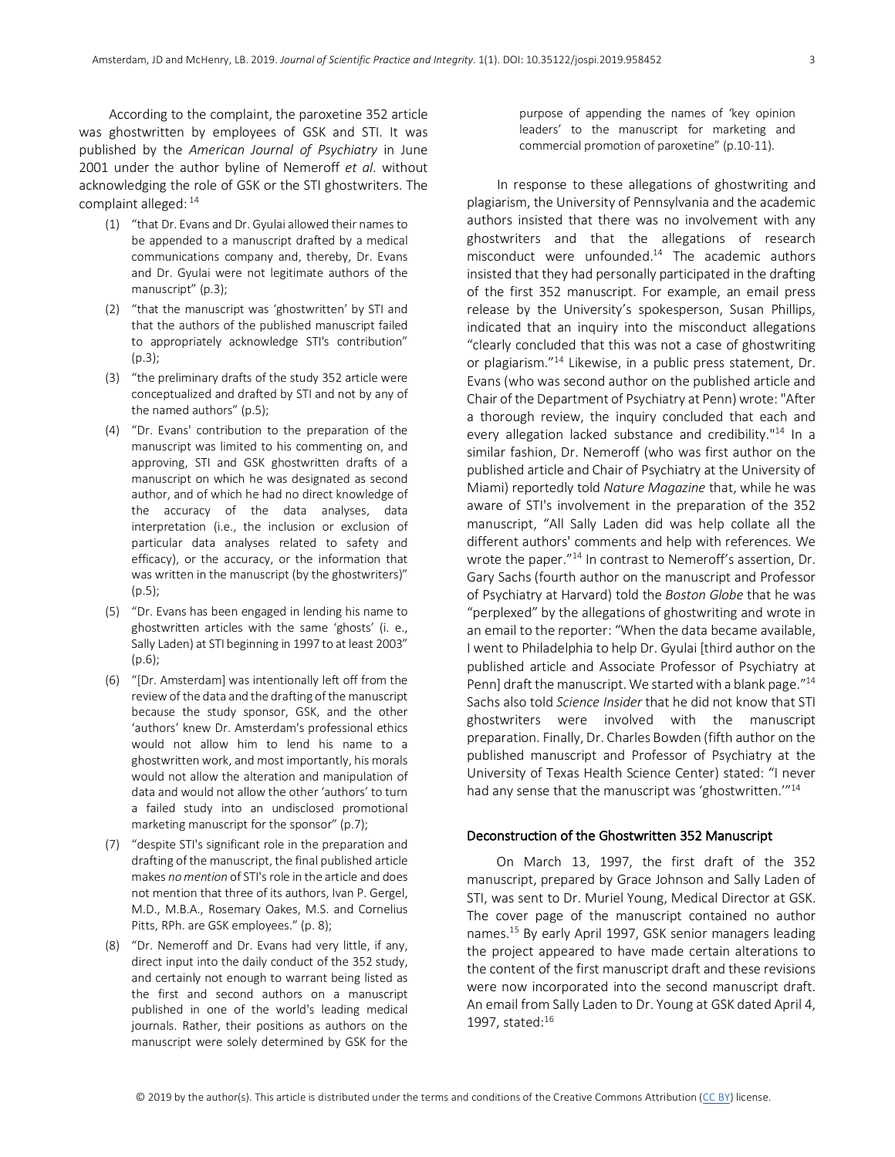According to the complaint, the paroxetine 352 article was ghostwritten by employees of GSK and STI. It was published by the *American Journal of Psychiatry* in June 2001 under the author byline of Nemeroff *et al*. without acknowledging the role of GSK or the STI ghostwriters. The complaint alleged: <sup>14</sup>

- (1) "that Dr. Evans and Dr. Gyulai allowed their names to be appended to a manuscript drafted by a medical communications company and, thereby, Dr. Evans and Dr. Gyulai were not legitimate authors of the manuscript" (p.3);
- (2) "that the manuscript was 'ghostwritten' by STI and that the authors of the published manuscript failed to appropriately acknowledge STI's contribution"  $(p.3)$ ;
- (3) "the preliminary drafts of the study 352 article were conceptualized and drafted by STI and not by any of the named authors" (p.5);
- (4) "Dr. Evans' contribution to the preparation of the manuscript was limited to his commenting on, and approving, STI and GSK ghostwritten drafts of a manuscript on which he was designated as second author, and of which he had no direct knowledge of the accuracy of the data analyses, data interpretation (i.e., the inclusion or exclusion of particular data analyses related to safety and efficacy), or the accuracy, or the information that was written in the manuscript (by the ghostwriters)" (p.5);
- (5) "Dr. Evans has been engaged in lending his name to ghostwritten articles with the same 'ghosts' (i. e., Sally Laden) at STI beginning in 1997 to at least 2003" (p.6);
- (6) "[Dr. Amsterdam] was intentionally left off from the review of the data and the drafting of the manuscript because the study sponsor, GSK, and the other 'authors' knew Dr. Amsterdam's professional ethics would not allow him to lend his name to a ghostwritten work, and most importantly, his morals would not allow the alteration and manipulation of data and would not allow the other 'authors' to turn a failed study into an undisclosed promotional marketing manuscript for the sponsor" (p.7);
- (7) "despite STI's significant role in the preparation and drafting of the manuscript, the final published article makes *no mention* of STI's role in the article and does not mention that three of its authors, Ivan P. Gergel, M.D., M.B.A., Rosemary Oakes, M.S. and Cornelius Pitts, RPh. are GSK employees." (p. 8);
- (8) "Dr. Nemeroff and Dr. Evans had very little, if any, direct input into the daily conduct of the 352 study, and certainly not enough to warrant being listed as the first and second authors on a manuscript published in one of the world's leading medical journals. Rather, their positions as authors on the manuscript were solely determined by GSK for the

purpose of appending the names of 'key opinion leaders' to the manuscript for marketing and commercial promotion of paroxetine" (p.10-11).

 In response to these allegations of ghostwriting and plagiarism, the University of Pennsylvania and the academic authors insisted that there was no involvement with any ghostwriters and that the allegations of research misconduct were unfounded.14 The academic authors insisted that they had personally participated in the drafting of the first 352 manuscript. For example, an email press release by the University's spokesperson, Susan Phillips, indicated that an inquiry into the misconduct allegations "clearly concluded that this was not a case of ghostwriting or plagiarism."14 Likewise, in a public press statement, Dr. Evans (who was second author on the published article and Chair of the Department of Psychiatry at Penn) wrote: "After a thorough review, the inquiry concluded that each and every allegation lacked substance and credibility."<sup>14</sup> In a similar fashion, Dr. Nemeroff (who was first author on the published article and Chair of Psychiatry at the University of Miami) reportedly told *Nature Magazine* that, while he was aware of STI's involvement in the preparation of the 352 manuscript, "All Sally Laden did was help collate all the different authors' comments and help with references*.* We wrote the paper."<sup>14</sup> In contrast to Nemeroff's assertion, Dr. Gary Sachs (fourth author on the manuscript and Professor of Psychiatry at Harvard) told the *Boston Globe* that he was "perplexed" by the allegations of ghostwriting and wrote in an email to the reporter: "When the data became available, I went to Philadelphia to help Dr. Gyulai [third author on the published article and Associate Professor of Psychiatry at Penn] draft the manuscript. We started with a blank page."<sup>14</sup> Sachs also told *Science Insider* that he did not know that STI ghostwriters were involved with the manuscript preparation. Finally, Dr. Charles Bowden (fifth author on the published manuscript and Professor of Psychiatry at the University of Texas Health Science Center) stated: "I never had any sense that the manuscript was 'ghostwritten."<sup>14</sup>

## Deconstruction of the Ghostwritten 352 Manuscript

 On March 13, 1997, the first draft of the 352 manuscript, prepared by Grace Johnson and Sally Laden of STI, was sent to Dr. Muriel Young, Medical Director at GSK. The cover page of the manuscript contained no author names.15 By early April 1997, GSK senior managers leading the project appeared to have made certain alterations to the content of the first manuscript draft and these revisions were now incorporated into the second manuscript draft. An email from Sally Laden to Dr. Young at GSK dated April 4, 1997, stated:16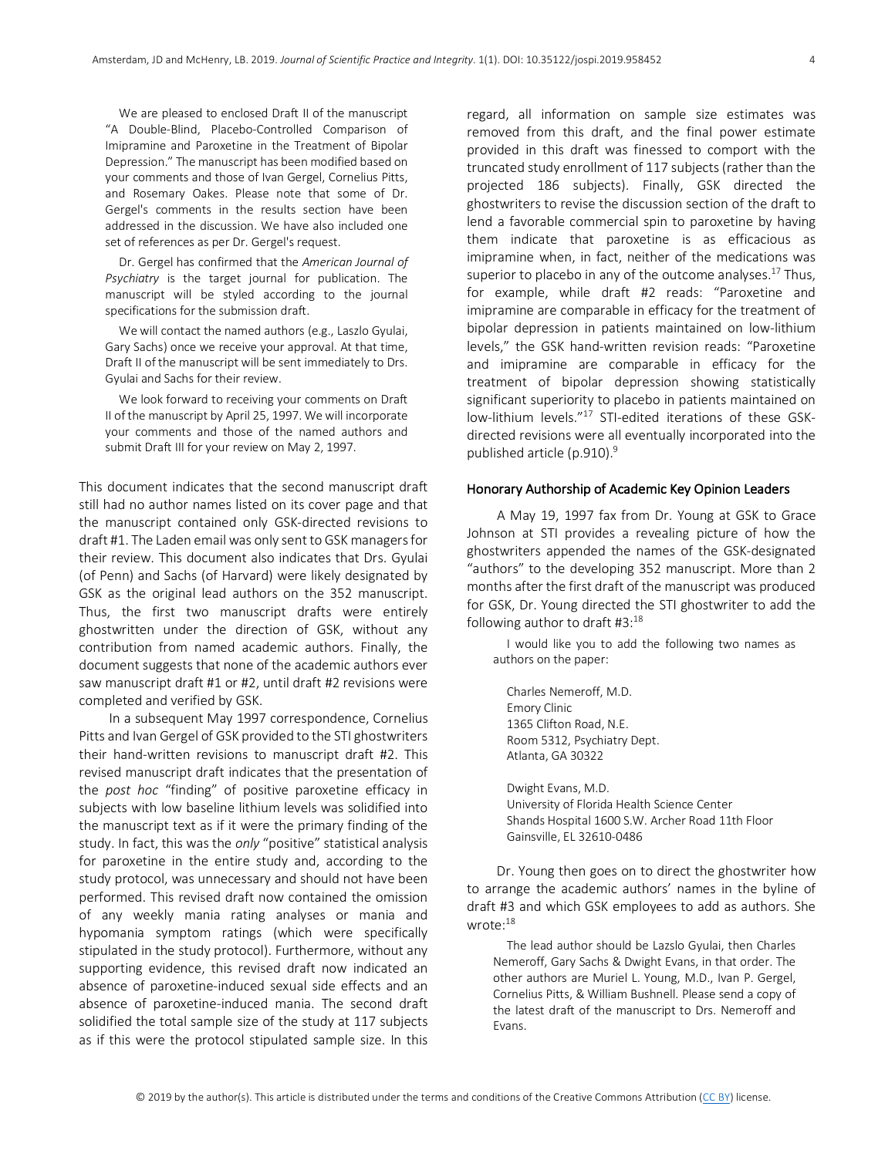We are pleased to enclosed Draft II of the manuscript "A Double-Blind, Placebo-Controlled Comparison of Imipramine and Paroxetine in the Treatment of Bipolar Depression." The manuscript has been modified based on your comments and those of Ivan Gergel, Cornelius Pitts, and Rosemary Oakes. Please note that some of Dr. Gergel's comments in the results section have been addressed in the discussion. We have also included one set of references as per Dr. Gergel's request.

Dr. Gergel has confirmed that the *American Journal of Psychiatry* is the target journal for publication. The manuscript will be styled according to the journal specifications for the submission draft.

We will contact the named authors (e.g., Laszlo Gyulai, Gary Sachs) once we receive your approval. At that time, Draft II of the manuscript will be sent immediately to Drs. Gyulai and Sachs for their review.

We look forward to receiving your comments on Draft II of the manuscript by April 25, 1997. We will incorporate your comments and those of the named authors and submit Draft III for your review on May 2, 1997.

This document indicates that the second manuscript draft still had no author names listed on its cover page and that the manuscript contained only GSK-directed revisions to draft #1. The Laden email was only sent to GSK managers for their review. This document also indicates that Drs. Gyulai (of Penn) and Sachs (of Harvard) were likely designated by GSK as the original lead authors on the 352 manuscript. Thus, the first two manuscript drafts were entirely ghostwritten under the direction of GSK, without any contribution from named academic authors. Finally, the document suggests that none of the academic authors ever saw manuscript draft #1 or #2, until draft #2 revisions were completed and verified by GSK.

 In a subsequent May 1997 correspondence, Cornelius Pitts and Ivan Gergel of GSK provided to the STI ghostwriters their hand-written revisions to manuscript draft #2. This revised manuscript draft indicates that the presentation of the *post hoc* "finding" of positive paroxetine efficacy in subjects with low baseline lithium levels was solidified into the manuscript text as if it were the primary finding of the study. In fact, this was the *only* "positive" statistical analysis for paroxetine in the entire study and, according to the study protocol, was unnecessary and should not have been performed. This revised draft now contained the omission of any weekly mania rating analyses or mania and hypomania symptom ratings (which were specifically stipulated in the study protocol). Furthermore, without any supporting evidence, this revised draft now indicated an absence of paroxetine-induced sexual side effects and an absence of paroxetine-induced mania. The second draft solidified the total sample size of the study at 117 subjects as if this were the protocol stipulated sample size. In this regard, all information on sample size estimates was removed from this draft, and the final power estimate provided in this draft was finessed to comport with the truncated study enrollment of 117 subjects (rather than the projected 186 subjects). Finally, GSK directed the ghostwriters to revise the discussion section of the draft to lend a favorable commercial spin to paroxetine by having them indicate that paroxetine is as efficacious as imipramine when, in fact, neither of the medications was superior to placebo in any of the outcome analyses.<sup>17</sup> Thus, for example, while draft #2 reads: "Paroxetine and imipramine are comparable in efficacy for the treatment of bipolar depression in patients maintained on low-lithium levels," the GSK hand-written revision reads: "Paroxetine and imipramine are comparable in efficacy for the treatment of bipolar depression showing statistically significant superiority to placebo in patients maintained on low-lithium levels."17 STI-edited iterations of these GSKdirected revisions were all eventually incorporated into the published article (p.910). 9

## Honorary Authorship of Academic Key Opinion Leaders

 A May 19, 1997 fax from Dr. Young at GSK to Grace Johnson at STI provides a revealing picture of how the ghostwriters appended the names of the GSK-designated "authors" to the developing 352 manuscript. More than 2 months after the first draft of the manuscript was produced for GSK, Dr. Young directed the STI ghostwriter to add the following author to draft  $#3:18$ 

I would like you to add the following two names as authors on the paper:

Charles Nemeroff, M.D. Emory Clinic 1365 Clifton Road, N.E. Room 5312, Psychiatry Dept. Atlanta, GA 30322

Dwight Evans, M.D. University of Florida Health Science Center Shands Hospital 1600 S.W. Archer Road 11th Floor Gainsville, EL 32610-0486

 Dr. Young then goes on to direct the ghostwriter how to arrange the academic authors' names in the byline of draft #3 and which GSK employees to add as authors. She wrote:18

The lead author should be Lazslo Gyulai, then Charles Nemeroff, Gary Sachs & Dwight Evans, in that order. The other authors are Muriel L. Young, M.D., Ivan P. Gergel, Cornelius Pitts, & William Bushnell. Please send a copy of the latest draft of the manuscript to Drs. Nemeroff and Evans.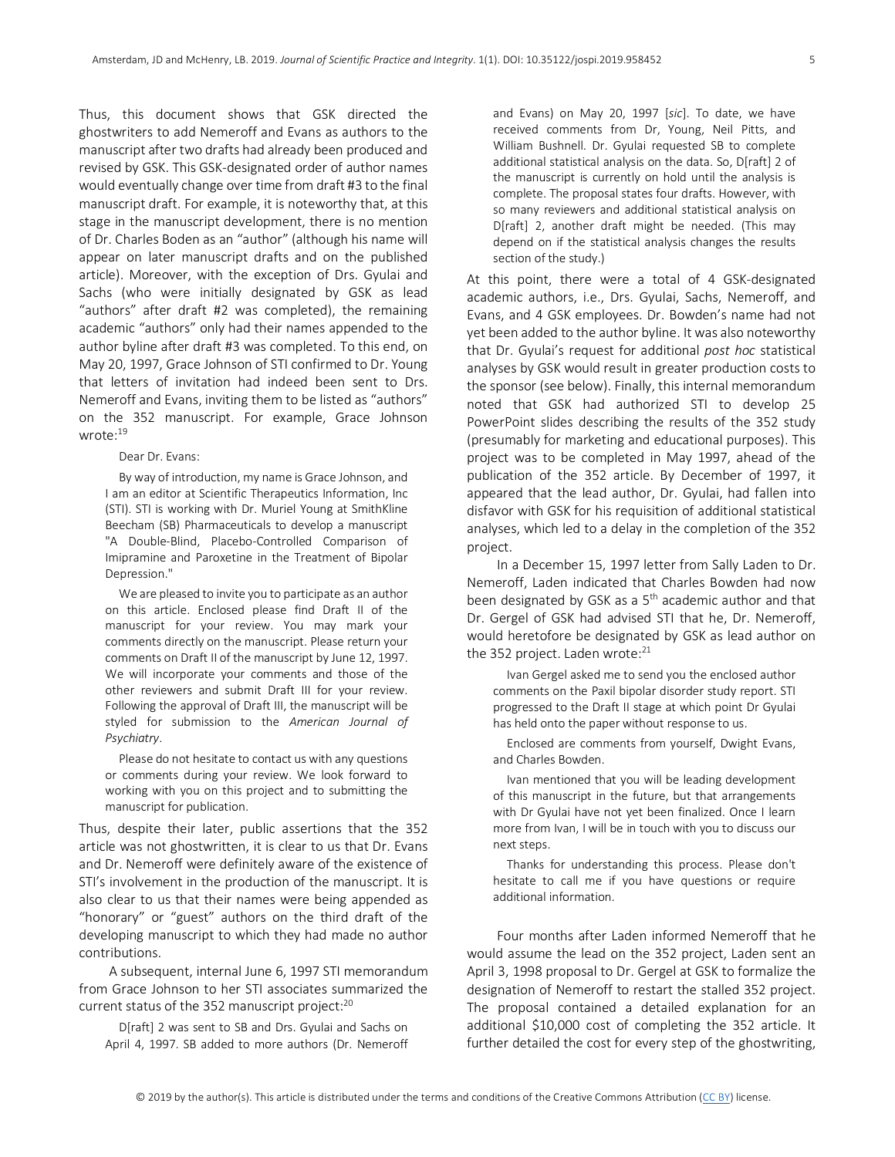Thus, this document shows that GSK directed the ghostwriters to add Nemeroff and Evans as authors to the manuscript after two drafts had already been produced and revised by GSK. This GSK-designated order of author names would eventually change over time from draft #3 to the final manuscript draft. For example, it is noteworthy that, at this stage in the manuscript development, there is no mention of Dr. Charles Boden as an "author" (although his name will appear on later manuscript drafts and on the published article). Moreover, with the exception of Drs. Gyulai and Sachs (who were initially designated by GSK as lead "authors" after draft #2 was completed), the remaining academic "authors" only had their names appended to the author byline after draft #3 was completed. To this end, on May 20, 1997, Grace Johnson of STI confirmed to Dr. Young that letters of invitation had indeed been sent to Drs. Nemeroff and Evans, inviting them to be listed as "authors" on the 352 manuscript. For example, Grace Johnson wrote:19

#### Dear Dr. Evans:

By way of introduction, my name is Grace Johnson, and I am an editor at Scientific Therapeutics Information, Inc (STI). STI is working with Dr. Muriel Young at SmithKline Beecham (SB) Pharmaceuticals to develop a manuscript "A Double-Blind, Placebo-Controlled Comparison of Imipramine and Paroxetine in the Treatment of Bipolar Depression."

We are pleased to invite you to participate as an author on this article. Enclosed please find Draft II of the manuscript for your review. You may mark your comments directly on the manuscript. Please return your comments on Draft II of the manuscript by June 12, 1997. We will incorporate your comments and those of the other reviewers and submit Draft III for your review. Following the approval of Draft III, the manuscript will be styled for submission to the *American Journal of Psychiatry*.

Please do not hesitate to contact us with any questions or comments during your review. We look forward to working with you on this project and to submitting the manuscript for publication.

Thus, despite their later, public assertions that the 352 article was not ghostwritten, it is clear to us that Dr. Evans and Dr. Nemeroff were definitely aware of the existence of STI's involvement in the production of the manuscript. It is also clear to us that their names were being appended as "honorary" or "guest" authors on the third draft of the developing manuscript to which they had made no author contributions.

 A subsequent, internal June 6, 1997 STI memorandum from Grace Johnson to her STI associates summarized the current status of the 352 manuscript project:<sup>20</sup>

D[raft] 2 was sent to SB and Drs. Gyulai and Sachs on April 4, 1997. SB added to more authors (Dr. Nemeroff and Evans) on May 20, 1997 [*sic*]. To date, we have received comments from Dr, Young, Neil Pitts, and William Bushnell. Dr. Gyulai requested SB to complete additional statistical analysis on the data. So, D[raft] 2 of the manuscript is currently on hold until the analysis is complete. The proposal states four drafts. However, with so many reviewers and additional statistical analysis on D[raft] 2, another draft might be needed. (This may depend on if the statistical analysis changes the results section of the study.)

At this point, there were a total of 4 GSK-designated academic authors, i.e., Drs. Gyulai, Sachs, Nemeroff, and Evans, and 4 GSK employees. Dr. Bowden's name had not yet been added to the author byline. It was also noteworthy that Dr. Gyulai's request for additional *post hoc* statistical analyses by GSK would result in greater production costs to the sponsor (see below). Finally, this internal memorandum noted that GSK had authorized STI to develop 25 PowerPoint slides describing the results of the 352 study (presumably for marketing and educational purposes). This project was to be completed in May 1997, ahead of the publication of the 352 article. By December of 1997, it appeared that the lead author, Dr. Gyulai, had fallen into disfavor with GSK for his requisition of additional statistical analyses, which led to a delay in the completion of the 352 project.

 In a December 15, 1997 letter from Sally Laden to Dr. Nemeroff, Laden indicated that Charles Bowden had now been designated by GSK as a 5<sup>th</sup> academic author and that Dr. Gergel of GSK had advised STI that he, Dr. Nemeroff, would heretofore be designated by GSK as lead author on the 352 project. Laden wrote:<sup>21</sup>

Ivan Gergel asked me to send you the enclosed author comments on the Paxil bipolar disorder study report. STI progressed to the Draft II stage at which point Dr Gyulai has held onto the paper without response to us.

Enclosed are comments from yourself, Dwight Evans, and Charles Bowden.

Ivan mentioned that you will be leading development of this manuscript in the future, but that arrangements with Dr Gyulai have not yet been finalized. Once I learn more from Ivan, I will be in touch with you to discuss our next steps.

Thanks for understanding this process. Please don't hesitate to call me if you have questions or require additional information.

 Four months after Laden informed Nemeroff that he would assume the lead on the 352 project, Laden sent an April 3, 1998 proposal to Dr. Gergel at GSK to formalize the designation of Nemeroff to restart the stalled 352 project. The proposal contained a detailed explanation for an additional \$10,000 cost of completing the 352 article. It further detailed the cost for every step of the ghostwriting,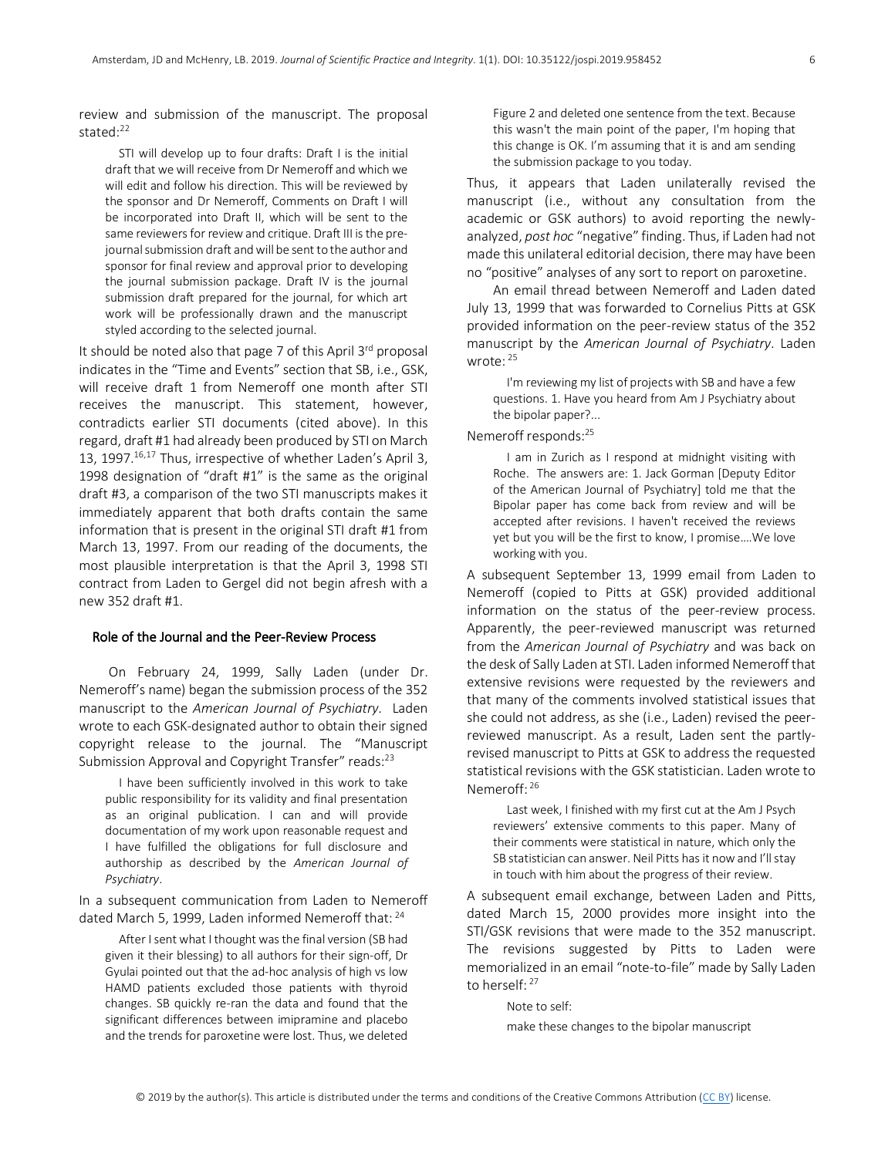review and submission of the manuscript. The proposal stated:22

STI will develop up to four drafts: Draft I is the initial draft that we will receive from Dr Nemeroff and which we will edit and follow his direction. This will be reviewed by the sponsor and Dr Nemeroff, Comments on Draft I will be incorporated into Draft II, which will be sent to the same reviewers for review and critique. Draft III is the prejournal submission draft and will be sent to the author and sponsor for final review and approval prior to developing the journal submission package. Draft IV is the journal submission draft prepared for the journal, for which art work will be professionally drawn and the manuscript styled according to the selected journal.

It should be noted also that page  $7$  of this April  $3^{rd}$  proposal indicates in the "Time and Events" section that SB, i.e., GSK, will receive draft 1 from Nemeroff one month after STI receives the manuscript. This statement, however, contradicts earlier STI documents (cited above). In this regard, draft #1 had already been produced by STI on March 13, 1997.<sup>16,17</sup> Thus, irrespective of whether Laden's April 3, 1998 designation of "draft #1" is the same as the original draft #3, a comparison of the two STI manuscripts makes it immediately apparent that both drafts contain the same information that is present in the original STI draft #1 from March 13, 1997. From our reading of the documents, the most plausible interpretation is that the April 3, 1998 STI contract from Laden to Gergel did not begin afresh with a new 352 draft #1.

## Role of the Journal and the Peer-Review Process

 On February 24, 1999, Sally Laden (under Dr. Nemeroff's name) began the submission process of the 352 manuscript to the *American Journal of Psychiatry*. Laden wrote to each GSK-designated author to obtain their signed copyright release to the journal. The "Manuscript Submission Approval and Copyright Transfer" reads:<sup>23</sup>

I have been sufficiently involved in this work to take public responsibility for its validity and final presentation as an original publication. I can and will provide documentation of my work upon reasonable request and I have fulfilled the obligations for full disclosure and authorship as described by the *American Journal of Psychiatry*.

In a subsequent communication from Laden to Nemeroff dated March 5, 1999, Laden informed Nemeroff that: <sup>24</sup>

After I sent what I thought was the final version (SB had given it their blessing) to all authors for their sign-off, Dr Gyulai pointed out that the ad-hoc analysis of high vs low HAMD patients excluded those patients with thyroid changes. SB quickly re-ran the data and found that the significant differences between imipramine and placebo and the trends for paroxetine were lost. Thus, we deleted

Figure 2 and deleted one sentence from the text. Because this wasn't the main point of the paper, I'm hoping that this change is OK. I'm assuming that it is and am sending the submission package to you today.

Thus, it appears that Laden unilaterally revised the manuscript (i.e., without any consultation from the academic or GSK authors) to avoid reporting the newlyanalyzed, *post hoc* "negative" finding. Thus, if Laden had not made this unilateral editorial decision, there may have been no "positive" analyses of any sort to report on paroxetine.

An email thread between Nemeroff and Laden dated July 13, 1999 that was forwarded to Cornelius Pitts at GSK provided information on the peer-review status of the 352 manuscript by the *American Journal of Psychiatry*. Laden wrote: <sup>25</sup>

I'm reviewing my list of projects with SB and have a few questions. 1. Have you heard from Am J Psychiatry about the bipolar paper?...

## Nemeroff responds:25

I am in Zurich as I respond at midnight visiting with Roche. The answers are: 1. Jack Gorman [Deputy Editor of the American Journal of Psychiatry] told me that the Bipolar paper has come back from review and will be accepted after revisions. I haven't received the reviews yet but you will be the first to know, I promise.…We love working with you.

A subsequent September 13, 1999 email from Laden to Nemeroff (copied to Pitts at GSK) provided additional information on the status of the peer-review process. Apparently, the peer-reviewed manuscript was returned from the *American Journal of Psychiatry* and was back on the desk of Sally Laden at STI. Laden informed Nemeroff that extensive revisions were requested by the reviewers and that many of the comments involved statistical issues that she could not address, as she (i.e., Laden) revised the peerreviewed manuscript. As a result, Laden sent the partlyrevised manuscript to Pitts at GSK to address the requested statistical revisions with the GSK statistician. Laden wrote to Nemeroff: <sup>26</sup>

Last week, I finished with my first cut at the Am J Psych reviewers' extensive comments to this paper. Many of their comments were statistical in nature, which only the SB statistician can answer. Neil Pitts has it now and I'll stay in touch with him about the progress of their review.

A subsequent email exchange, between Laden and Pitts, dated March 15, 2000 provides more insight into the STI/GSK revisions that were made to the 352 manuscript. The revisions suggested by Pitts to Laden were memorialized in an email "note-to-file" made by Sally Laden to herself<sup>. 27</sup>

Note to self:

make these changes to the bipolar manuscript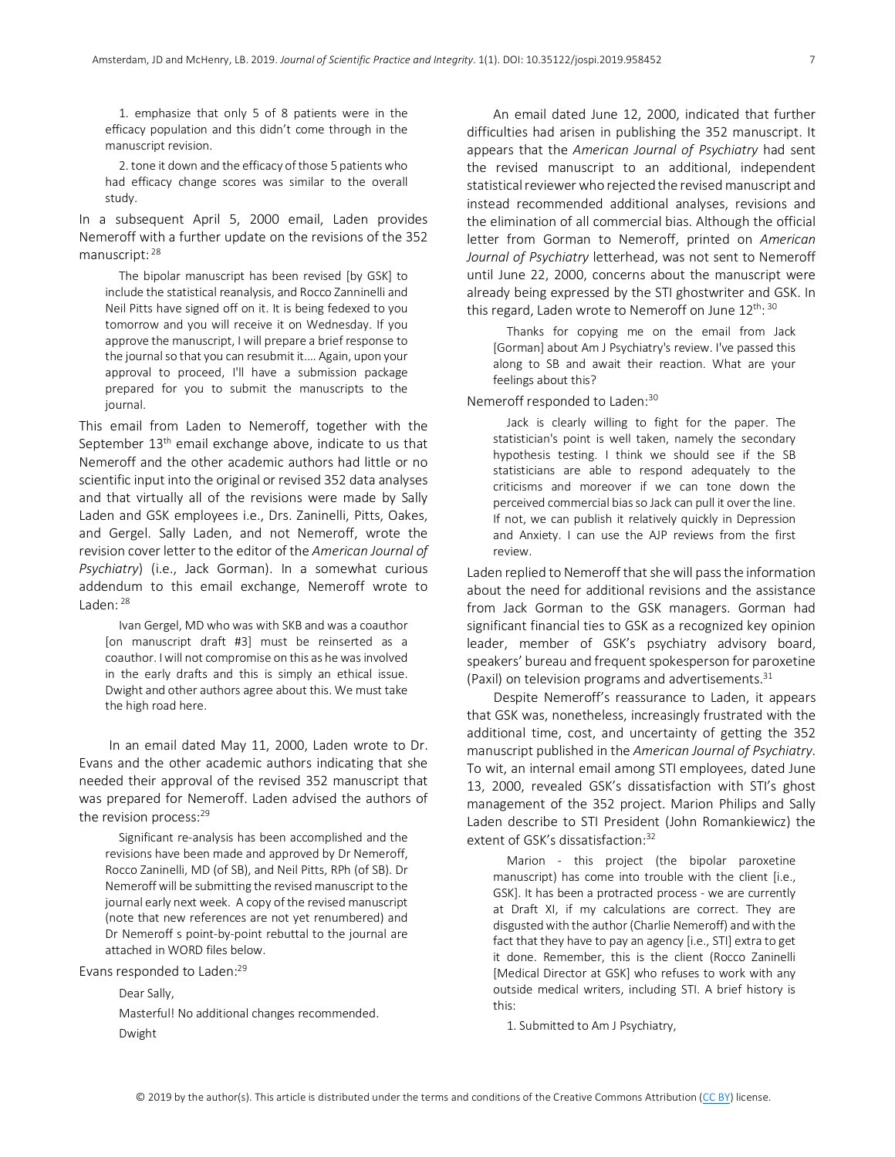1. emphasize that only 5 of 8 patients were in the efficacy population and this didn't come through in the manuscript revision.

2. tone it down and the efficacy of those 5 patients who had efficacy change scores was similar to the overall study.

In a subsequent April 5, 2000 email, Laden provides Nemeroff with a further update on the revisions of the 352 manuscript: <sup>28</sup>

The bipolar manuscript has been revised [by GSK] to include the statistical reanalysis, and Rocco Zanninelli and Neil Pitts have signed off on it. It is being fedexed to you tomorrow and you will receive it on Wednesday. If you approve the manuscript, I will prepare a brief response to the journal so that you can resubmit it.… Again, upon your approval to proceed, I'll have a submission package prepared for you to submit the manuscripts to the journal.

This email from Laden to Nemeroff, together with the September  $13<sup>th</sup>$  email exchange above, indicate to us that Nemeroff and the other academic authors had little or no scientific input into the original or revised 352 data analyses and that virtually all of the revisions were made by Sally Laden and GSK employees i.e., Drs. Zaninelli, Pitts, Oakes, and Gergel. Sally Laden, and not Nemeroff, wrote the revision cover letter to the editor of the *American Journal of Psychiatry*) (i.e., Jack Gorman). In a somewhat curious addendum to this email exchange, Nemeroff wrote to Laden: 28

Ivan Gergel, MD who was with SKB and was a coauthor [on manuscript draft #3] must be reinserted as a coauthor. I will not compromise on this as he was involved in the early drafts and this is simply an ethical issue. Dwight and other authors agree about this. We must take the high road here.

 In an email dated May 11, 2000, Laden wrote to Dr. Evans and the other academic authors indicating that she needed their approval of the revised 352 manuscript that was prepared for Nemeroff. Laden advised the authors of the revision process:<sup>29</sup>

Significant re-analysis has been accomplished and the revisions have been made and approved by Dr Nemeroff, Rocco Zaninelli, MD (of SB), and Neil Pitts, RPh (of SB). Dr Nemeroff will be submitting the revised manuscript to the journal early next week. A copy of the revised manuscript (note that new references are not yet renumbered) and Dr Nemeroff s point-by-point rebuttal to the journal are attached in WORD files below.

Evans responded to Laden:<sup>29</sup>

Dear Sally,

Masterful! No additional changes recommended. Dwight

An email dated June 12, 2000, indicated that further difficulties had arisen in publishing the 352 manuscript. It appears that the *American Journal of Psychiatry* had sent the revised manuscript to an additional, independent statistical reviewer who rejected the revised manuscript and instead recommended additional analyses, revisions and the elimination of all commercial bias. Although the official letter from Gorman to Nemeroff, printed on *American Journal of Psychiatry* letterhead, was not sent to Nemeroff until June 22, 2000, concerns about the manuscript were already being expressed by the STI ghostwriter and GSK. In this regard, Laden wrote to Nemeroff on June 12<sup>th</sup>: 30

Thanks for copying me on the email from Jack [Gorman] about Am J Psychiatry's review. I've passed this along to SB and await their reaction. What are your feelings about this?

Nemeroff responded to Laden:30

Jack is clearly willing to fight for the paper. The statistician's point is well taken, namely the secondary hypothesis testing. I think we should see if the SB statisticians are able to respond adequately to the criticisms and moreover if we can tone down the perceived commercial bias so Jack can pull it over the line. If not, we can publish it relatively quickly in Depression and Anxiety. I can use the AJP reviews from the first review.

Laden replied to Nemeroff that she will pass the information about the need for additional revisions and the assistance from Jack Gorman to the GSK managers. Gorman had significant financial ties to GSK as a recognized key opinion leader, member of GSK's psychiatry advisory board, speakers' bureau and frequent spokesperson for paroxetine (Paxil) on television programs and advertisements.  $31$ 

 Despite Nemeroff's reassurance to Laden, it appears that GSK was, nonetheless, increasingly frustrated with the additional time, cost, and uncertainty of getting the 352 manuscript published in the *American Journal of Psychiatry*. To wit, an internal email among STI employees, dated June 13, 2000, revealed GSK's dissatisfaction with STI's ghost management of the 352 project. Marion Philips and Sally Laden describe to STI President (John Romankiewicz) the extent of GSK's dissatisfaction:<sup>32</sup>

Marion - this project (the bipolar paroxetine manuscript) has come into trouble with the client [i.e., GSK]. It has been a protracted process - we are currently at Draft XI, if my calculations are correct. They are disgusted with the author (Charlie Nemeroff) and with the fact that they have to pay an agency [i.e., STI] extra to get it done. Remember, this is the client (Rocco Zaninelli [Medical Director at GSK] who refuses to work with any outside medical writers, including STI. A brief history is this:

1. Submitted to Am J Psychiatry,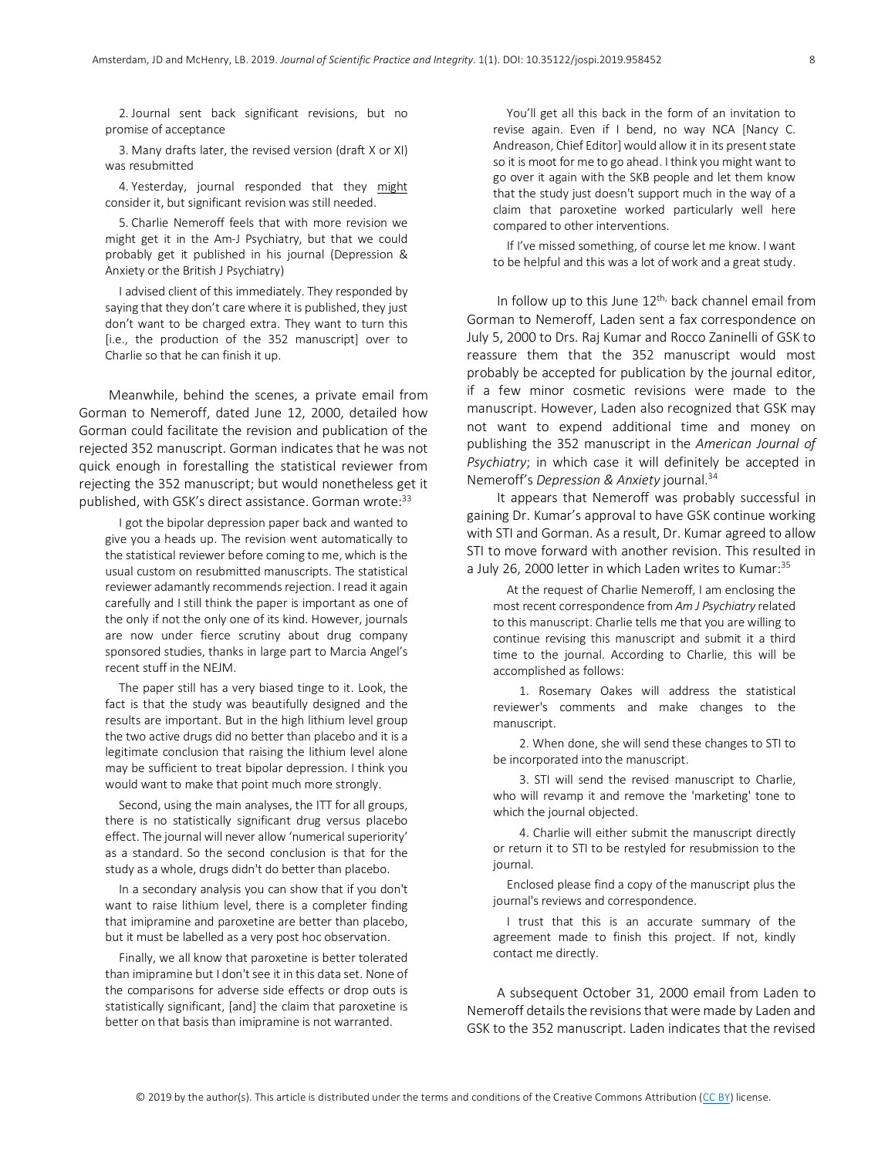2. Journal sent back significant revisions, but no promise of acceptance

3. Many drafts later, the revised version (draft X or XI) was resubmitted

4. Yesterday, journal responded that they might consider it, but significant revision was still needed.

5. Charlie Nemeroff feels that with more revision we might get it in the Am-J Psychiatry, but that we could probably get it published in his journal (Depression & Anxiety or the British J Psychiatry)

I advised client of this immediately. They responded by saying that they don't care where it is published, they just don't want to be charged extra. They want to turn this [i.e., the production of the 352 manuscript] over to Charlie so that he can finish it up.

 Meanwhile, behind the scenes, a private email from Gorman to Nemeroff, dated June 12, 2000, detailed how Gorman could facilitate the revision and publication of the rejected 352 manuscript. Gorman indicates that he was not quick enough in forestalling the statistical reviewer from rejecting the 352 manuscript; but would nonetheless get it published, with GSK's direct assistance. Gorman wrote:<sup>33</sup>

I got the bipolar depression paper back and wanted to give you a heads up. The revision went automatically to the statistical reviewer before coming to me, which is the usual custom on resubmitted manuscripts. The statistical reviewer adamantly recommends rejection. I read it again carefully and I still think the paper is important as one of the only if not the only one of its kind. However, journals are now under fierce scrutiny about drug company sponsored studies, thanks in large part to Marcia Angel's recent stuff in the NEJM.

The paper still has a very biased tinge to it. Look, the fact is that the study was beautifully designed and the results are important. But in the high lithium level group the two active drugs did no better than placebo and it is a legitimate conclusion that raising the lithium level alone may be sufficient to treat bipolar depression. I think you would want to make that point much more strongly.

Second, using the main analyses, the ITT for all groups, there is no statistically significant drug versus placebo effect. The journal will never allow 'numerical superiority' as a standard. So the second conclusion is that for the study as a whole, drugs didn't do better than placebo.

In a secondary analysis you can show that if you don't want to raise lithium level, there is a completer finding that imipramine and paroxetine are better than placebo, but it must be labelled as a very post hoc observation.

Finally, we all know that paroxetine is better tolerated than imipramine but I don't see it in this data set. None of the comparisons for adverse side effects or drop outs is statistically significant, [and] the claim that paroxetine is better on that basis than imipramine is not warranted.

You'll get all this back in the form of an invitation to revise again. Even if I bend, no way NCA [Nancy C. Andreason, Chief Editor] would allow it in its present state so it is moot for me to go ahead. I think you might want to go over it again with the SKB people and let them know that the study just doesn't support much in the way of a claim that paroxetine worked particularly well here compared to other interventions.

If I've missed something, of course let me know. I want to be helpful and this was a lot of work and a great study.

In follow up to this June  $12<sup>th</sup>$ , back channel email from Gorman to Nemeroff, Laden sent a fax correspondence on July 5, 2000 to Drs. Raj Kumar and Rocco Zaninelli of GSK to reassure them that the 352 manuscript would most probably be accepted for publication by the journal editor, if a few minor cosmetic revisions were made to the manuscript. However, Laden also recognized that GSK may not want to expend additional time and money on publishing the 352 manuscript in the *American Journal of Psychiatry*; in which case it will definitely be accepted in Nemeroff's *Depression & Anxiety* journal.34

 It appears that Nemeroff was probably successful in gaining Dr. Kumar's approval to have GSK continue working with STI and Gorman. As a result, Dr. Kumar agreed to allow STI to move forward with another revision. This resulted in a July 26, 2000 letter in which Laden writes to Kumar:<sup>35</sup>

At the request of Charlie Nemeroff, I am enclosing the most recent correspondence from *Am J Psychiatry* related to this manuscript. Charlie tells me that you are willing to continue revising this manuscript and submit it a third time to the journal. According to Charlie, this will be accomplished as follows:

1. Rosemary Oakes will address the statistical reviewer's comments and make changes to the manuscript.

2. When done, she will send these changes to STI to be incorporated into the manuscript.

3. STI will send the revised manuscript to Charlie, who will revamp it and remove the 'marketing' tone to which the journal objected.

4. Charlie will either submit the manuscript directly or return it to STI to be restyled for resubmission to the journal.

Enclosed please find a copy of the manuscript plus the journal's reviews and correspondence.

I trust that this is an accurate summary of the agreement made to finish this project. If not, kindly contact me directly.

 A subsequent October 31, 2000 email from Laden to Nemeroff details the revisions that were made by Laden and GSK to the 352 manuscript. Laden indicates that the revised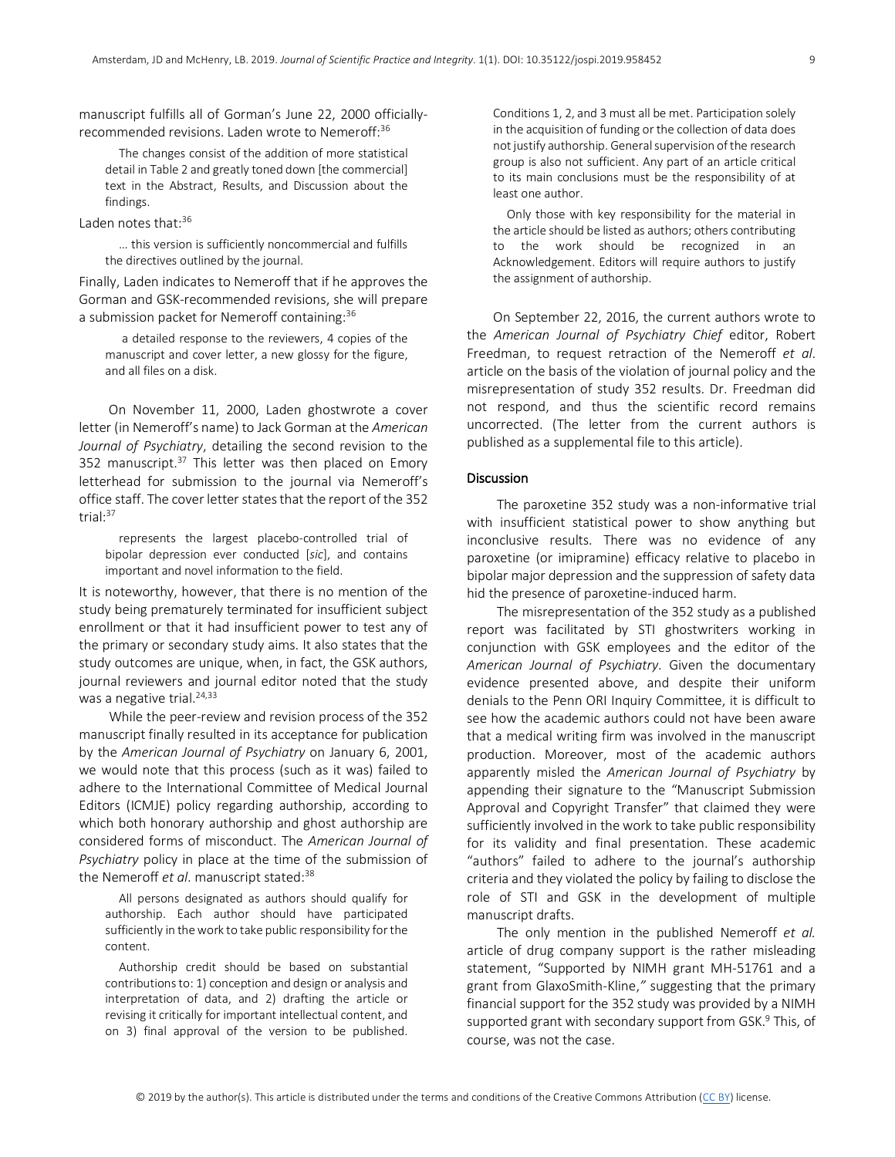manuscript fulfills all of Gorman's June 22, 2000 officiallyrecommended revisions. Laden wrote to Nemeroff: 36

The changes consist of the addition of more statistical detail in Table 2 and greatly toned down [the commercial] text in the Abstract, Results, and Discussion about the findings.

Laden notes that: $36$ 

… this version is sufficiently noncommercial and fulfills the directives outlined by the journal.

Finally, Laden indicates to Nemeroff that if he approves the Gorman and GSK-recommended revisions, she will prepare a submission packet for Nemeroff containing:<sup>36</sup>

a detailed response to the reviewers, 4 copies of the manuscript and cover letter, a new glossy for the figure, and all files on a disk.

 On November 11, 2000, Laden ghostwrote a cover letter (in Nemeroff's name) to Jack Gorman at the *American Journal of Psychiatry*, detailing the second revision to the 352 manuscript.<sup>37</sup> This letter was then placed on Emory letterhead for submission to the journal via Nemeroff's office staff. The cover letter states that the report of the 352 trial: 37

represents the largest placebo-controlled trial of bipolar depression ever conducted [*sic*], and contains important and novel information to the field.

It is noteworthy, however, that there is no mention of the study being prematurely terminated for insufficient subject enrollment or that it had insufficient power to test any of the primary or secondary study aims. It also states that the study outcomes are unique, when, in fact, the GSK authors, journal reviewers and journal editor noted that the study was a negative trial.<sup>24,33</sup>

 While the peer-review and revision process of the 352 manuscript finally resulted in its acceptance for publication by the *American Journal of Psychiatry* on January 6, 2001, we would note that this process (such as it was) failed to adhere to the International Committee of Medical Journal Editors (ICMJE) policy regarding authorship, according to which both honorary authorship and ghost authorship are considered forms of misconduct. The *American Journal of Psychiatry* policy in place at the time of the submission of the Nemeroff *et al.* manuscript stated:<sup>38</sup>

All persons designated as authors should qualify for authorship. Each author should have participated sufficiently in the work to take public responsibility for the content.

Authorship credit should be based on substantial contributions to: 1) conception and design or analysis and interpretation of data, and 2) drafting the article or revising it critically for important intellectual content, and on 3) final approval of the version to be published.

Conditions 1, 2, and 3 must all be met. Participation solely in the acquisition of funding or the collection of data does not justify authorship. General supervision of the research group is also not sufficient. Any part of an article critical to its main conclusions must be the responsibility of at least one author.

Only those with key responsibility for the material in the article should be listed as authors; others contributing to the work should be recognized in an Acknowledgement. Editors will require authors to justify the assignment of authorship.

On September 22, 2016, the current authors wrote to the *American Journal of Psychiatry Chief* editor, Robert Freedman, to request retraction of the Nemeroff *et al*. article on the basis of the violation of journal policy and the misrepresentation of study 352 results. Dr. Freedman did not respond, and thus the scientific record remains uncorrected. (The letter from the current authors is published as a supplemental file to this article).

### **Discussion**

 The paroxetine 352 study was a non-informative trial with insufficient statistical power to show anything but inconclusive results. There was no evidence of any paroxetine (or imipramine) efficacy relative to placebo in bipolar major depression and the suppression of safety data hid the presence of paroxetine-induced harm.

 The misrepresentation of the 352 study as a published report was facilitated by STI ghostwriters working in conjunction with GSK employees and the editor of the *American Journal of Psychiatry*. Given the documentary evidence presented above, and despite their uniform denials to the Penn ORI Inquiry Committee, it is difficult to see how the academic authors could not have been aware that a medical writing firm was involved in the manuscript production. Moreover, most of the academic authors apparently misled the *American Journal of Psychiatry* by appending their signature to the "Manuscript Submission Approval and Copyright Transfer" that claimed they were sufficiently involved in the work to take public responsibility for its validity and final presentation. These academic "authors" failed to adhere to the journal's authorship criteria and they violated the policy by failing to disclose the role of STI and GSK in the development of multiple manuscript drafts.

 The only mention in the published Nemeroff *et al.* article of drug company support is the rather misleading statement, "Supported by NIMH grant MH-51761 and a grant from GlaxoSmith-Kline,*"* suggesting that the primary financial support for the 352 study was provided by a NIMH supported grant with secondary support from GSK.<sup>9</sup> This, of course, was not the case.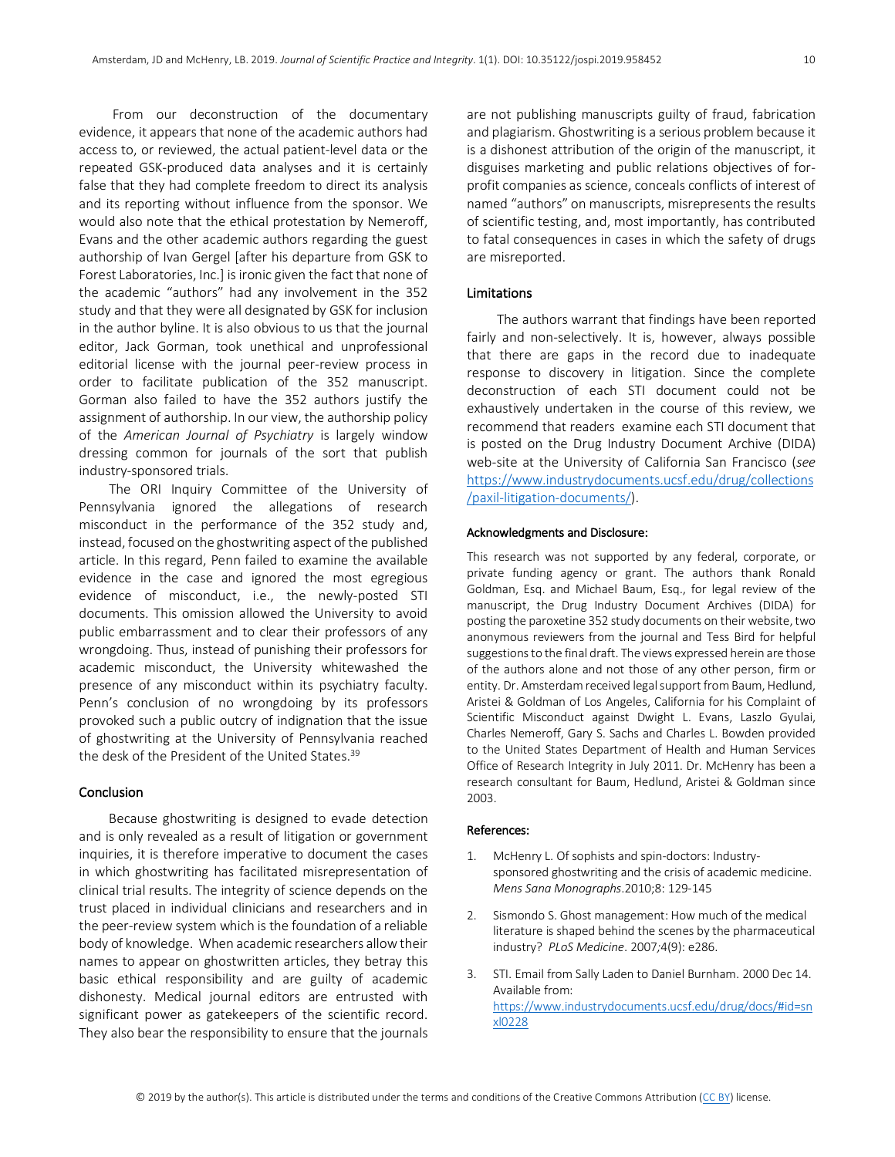From our deconstruction of the documentary evidence, it appears that none of the academic authors had access to, or reviewed, the actual patient-level data or the repeated GSK-produced data analyses and it is certainly false that they had complete freedom to direct its analysis and its reporting without influence from the sponsor. We would also note that the ethical protestation by Nemeroff, Evans and the other academic authors regarding the guest authorship of Ivan Gergel [after his departure from GSK to Forest Laboratories, Inc.] is ironic given the fact that none of the academic "authors" had any involvement in the 352 study and that they were all designated by GSK for inclusion in the author byline. It is also obvious to us that the journal editor, Jack Gorman, took unethical and unprofessional editorial license with the journal peer-review process in order to facilitate publication of the 352 manuscript. Gorman also failed to have the 352 authors justify the assignment of authorship. In our view, the authorship policy of the *American Journal of Psychiatry* is largely window dressing common for journals of the sort that publish industry-sponsored trials.

 The ORI Inquiry Committee of the University of Pennsylvania ignored the allegations of research misconduct in the performance of the 352 study and, instead, focused on the ghostwriting aspect of the published article. In this regard, Penn failed to examine the available evidence in the case and ignored the most egregious evidence of misconduct, i.e., the newly-posted STI documents. This omission allowed the University to avoid public embarrassment and to clear their professors of any wrongdoing. Thus, instead of punishing their professors for academic misconduct, the University whitewashed the presence of any misconduct within its psychiatry faculty. Penn's conclusion of no wrongdoing by its professors provoked such a public outcry of indignation that the issue of ghostwriting at the University of Pennsylvania reached the desk of the President of the United States. 39

# **Conclusion**

 Because ghostwriting is designed to evade detection and is only revealed as a result of litigation or government inquiries, it is therefore imperative to document the cases in which ghostwriting has facilitated misrepresentation of clinical trial results. The integrity of science depends on the trust placed in individual clinicians and researchers and in the peer-review system which is the foundation of a reliable body of knowledge. When academic researchers allow their names to appear on ghostwritten articles, they betray this basic ethical responsibility and are guilty of academic dishonesty. Medical journal editors are entrusted with significant power as gatekeepers of the scientific record. They also bear the responsibility to ensure that the journals are not publishing manuscripts guilty of fraud, fabrication and plagiarism. Ghostwriting is a serious problem because it is a dishonest attribution of the origin of the manuscript, it disguises marketing and public relations objectives of forprofit companies as science, conceals conflicts of interest of named "authors" on manuscripts, misrepresents the results of scientific testing, and, most importantly, has contributed to fatal consequences in cases in which the safety of drugs are misreported.

## Limitations

 The authors warrant that findings have been reported fairly and non-selectively. It is, however, always possible that there are gaps in the record due to inadequate response to discovery in litigation. Since the complete deconstruction of each STI document could not be exhaustively undertaken in the course of this review, we recommend that readers examine each STI document that is posted on the Drug Industry Document Archive (DIDA) web-site at the University of California San Francisco (*see* https://www.industrydocuments.ucsf.edu/drug/collections /paxil-litigation-documents/).

## Acknowledgments and Disclosure:

This research was not supported by any federal, corporate, or private funding agency or grant. The authors thank Ronald Goldman, Esq. and Michael Baum, Esq., for legal review of the manuscript, the Drug Industry Document Archives (DIDA) for posting the paroxetine 352 study documents on their website, two anonymous reviewers from the journal and Tess Bird for helpful suggestions to the final draft. The views expressed herein are those of the authors alone and not those of any other person, firm or entity. Dr. Amsterdam received legal support from Baum, Hedlund, Aristei & Goldman of Los Angeles, California for his Complaint of Scientific Misconduct against Dwight L. Evans, Laszlo Gyulai, Charles Nemeroff, Gary S. Sachs and Charles L. Bowden provided to the United States Department of Health and Human Services Office of Research Integrity in July 2011. Dr. McHenry has been a research consultant for Baum, Hedlund, Aristei & Goldman since 2003.

#### References:

- 1. McHenry L. Of sophists and spin-doctors: Industrysponsored ghostwriting and the crisis of academic medicine. *Mens Sana Monographs*.2010;8: 129-145
- 2. Sismondo S. Ghost management: How much of the medical literature is shaped behind the scenes by the pharmaceutical industry? *PLoS Medicine*. 2007*;*4(9): e286.
- 3. STI. Email from Sally Laden to Daniel Burnham. 2000 Dec 14. Available from: https://www.industrydocuments.ucsf.edu/drug/docs/#id=sn xl0228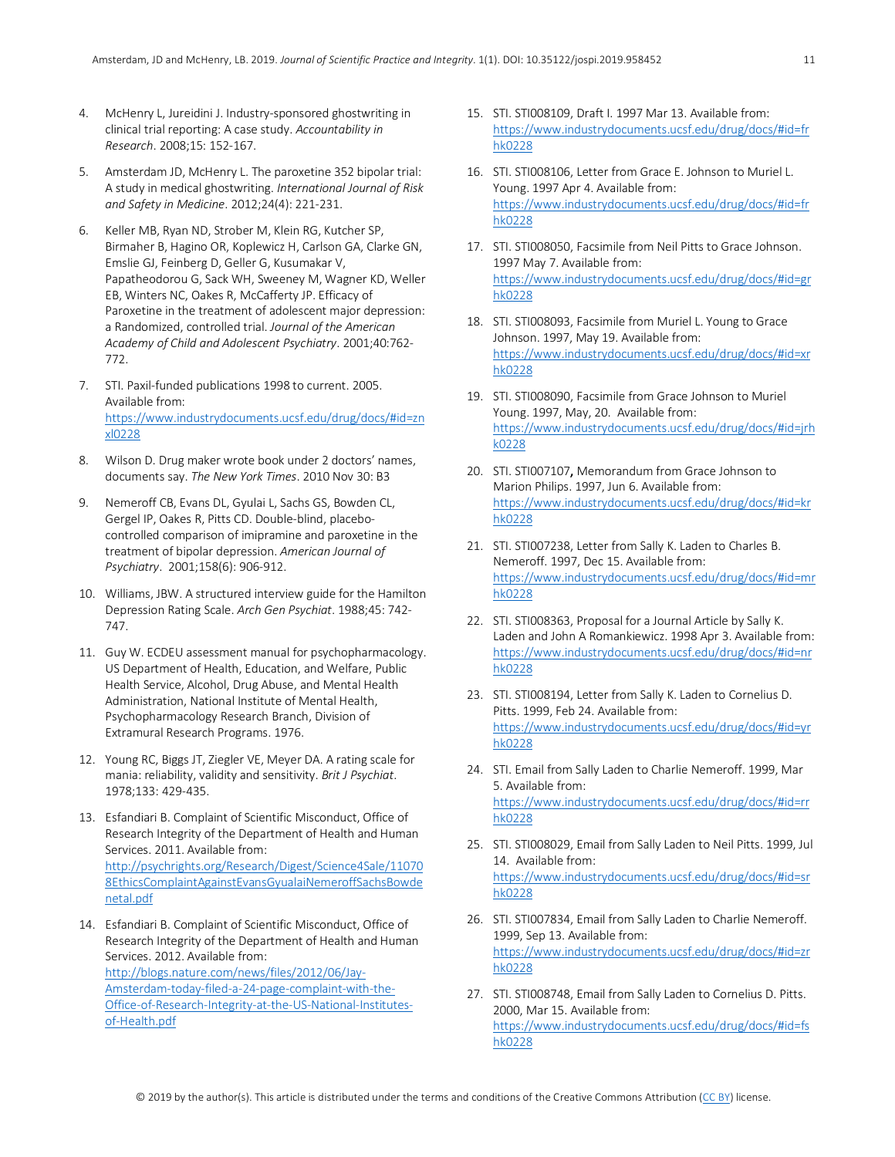11

- 4. McHenry L, Jureidini J. Industry-sponsored ghostwriting in clinical trial reporting: A case study. *Accountability in Research*. 2008;15: 152-167.
- 5. Amsterdam JD, McHenry L. The paroxetine 352 bipolar trial: A study in medical ghostwriting. *International Journal of Risk and Safety in Medicine*. 2012;24(4): 221-231.
- 6. Keller MB, Ryan ND, Strober M, Klein RG, Kutcher SP, Birmaher B, Hagino OR, Koplewicz H, Carlson GA, Clarke GN, Emslie GJ, Feinberg D, Geller G, Kusumakar V, Papatheodorou G, Sack WH, Sweeney M, Wagner KD, Weller EB, Winters NC, Oakes R, McCafferty JP. Efficacy of Paroxetine in the treatment of adolescent major depression: a Randomized, controlled trial. *Journal of the American Academy of Child and Adolescent Psychiatry*. 2001;40:762- 772.
- 7. STI. Paxil-funded publications 1998 to current. 2005. Available from: https://www.industrydocuments.ucsf.edu/drug/docs/#id=zn xl0228
- 8. Wilson D. Drug maker wrote book under 2 doctors' names, documents say. *The New York Times*. 2010 Nov 30: B3
- 9. Nemeroff CB, Evans DL, Gyulai L, Sachs GS, Bowden CL, Gergel IP, Oakes R, Pitts CD. Double-blind, placebocontrolled comparison of imipramine and paroxetine in the treatment of bipolar depression. *American Journal of Psychiatry*. 2001;158(6): 906-912.
- 10. Williams, JBW. A structured interview guide for the Hamilton Depression Rating Scale. *Arch Gen Psychiat*. 1988;45: 742- 747.
- 11. Guy W. ECDEU assessment manual for psychopharmacology. US Department of Health, Education, and Welfare, Public Health Service, Alcohol, Drug Abuse, and Mental Health Administration, National Institute of Mental Health, Psychopharmacology Research Branch, Division of Extramural Research Programs. 1976.
- 12. Young RC, Biggs JT, Ziegler VE, Meyer DA. A rating scale for mania: reliability, validity and sensitivity. *Brit J Psychiat*. 1978;133: 429-435.
- 13. Esfandiari B. Complaint of Scientific Misconduct, Office of Research Integrity of the Department of Health and Human Services. 2011. Available from: http://psychrights.org/Research/Digest/Science4Sale/11070 8EthicsComplaintAgainstEvansGyualaiNemeroffSachsBowde netal.pdf
- 14. Esfandiari B. Complaint of Scientific Misconduct, Office of Research Integrity of the Department of Health and Human Services. 2012. Available from: http://blogs.nature.com/news/files/2012/06/Jay-Amsterdam-today-filed-a-24-page-complaint-with-the-Office-of-Research-Integrity-at-the-US-National-Institutesof-Health.pdf
- 15. STI. STI008109, Draft I. 1997 Mar 13. Available from: https://www.industrydocuments.ucsf.edu/drug/docs/#id=fr hk0228
- 16. STI. STI008106, Letter from Grace E. Johnson to Muriel L. Young. 1997 Apr 4. Available from: https://www.industrydocuments.ucsf.edu/drug/docs/#id=fr hk0228
- 17. STI. STI008050, Facsimile from Neil Pitts to Grace Johnson. 1997 May 7. Available from: https://www.industrydocuments.ucsf.edu/drug/docs/#id=gr hk0228
- 18. STI. STI008093, Facsimile from Muriel L. Young to Grace Johnson. 1997, May 19. Available from: https://www.industrydocuments.ucsf.edu/drug/docs/#id=xr hk0228
- 19. STI. STI008090, Facsimile from Grace Johnson to Muriel Young. 1997, May, 20. Available from: https://www.industrydocuments.ucsf.edu/drug/docs/#id=jrh k0228
- 20. STI. STI007107, Memorandum from Grace Johnson to Marion Philips. 1997, Jun 6. Available from: https://www.industrydocuments.ucsf.edu/drug/docs/#id=kr hk0228
- 21. STI. STI007238, Letter from Sally K. Laden to Charles B. Nemeroff. 1997, Dec 15. Available from: https://www.industrydocuments.ucsf.edu/drug/docs/#id=mr hk0228
- 22. STI. STI008363, Proposal for a Journal Article by Sally K. Laden and John A Romankiewicz. 1998 Apr 3. Available from: https://www.industrydocuments.ucsf.edu/drug/docs/#id=nr hk0228
- 23. STI. STI008194, Letter from Sally K. Laden to Cornelius D. Pitts. 1999, Feb 24. Available from: https://www.industrydocuments.ucsf.edu/drug/docs/#id=yr hk0228
- 24. STI. Email from Sally Laden to Charlie Nemeroff. 1999, Mar 5. Available from: https://www.industrydocuments.ucsf.edu/drug/docs/#id=rr hk0228
- 25. STI. STI008029, Email from Sally Laden to Neil Pitts. 1999, Jul 14. Available from: https://www.industrydocuments.ucsf.edu/drug/docs/#id=sr hk0228
- 26. STI. STI007834, Email from Sally Laden to Charlie Nemeroff. 1999, Sep 13. Available from: https://www.industrydocuments.ucsf.edu/drug/docs/#id=zr hk0228
- 27. STI. STI008748, Email from Sally Laden to Cornelius D. Pitts. 2000, Mar 15. Available from: https://www.industrydocuments.ucsf.edu/drug/docs/#id=fs hk0228